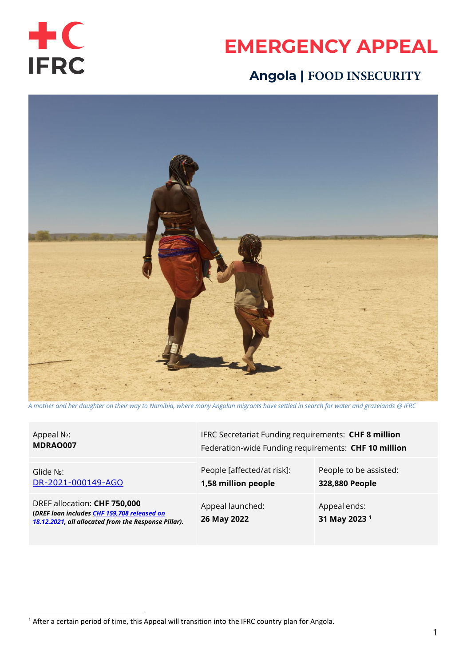

# **EMERGENCY APPEAL**

## **Angola | FOOD INSECURITY**



*A mother and her daughter on their way to Namibia, where many Angolan migrants have settled in search for water and grazelands @ IFRC*

Appeal №: **MDRAO007**

Glide №: [DR-2021-000149-AGO](https://glidenumber.net/glide/public/search/details.jsp?glide=22275&record=1&last=1)

DREF allocation: **CHF 750,000 (***DREF loan include[s CHF 159,708 released on](https://www.ifrc.org/appeals?date_from=&date_to=&appeal_code=MDRAO007&text=)  [18.12.2021,](https://www.ifrc.org/appeals?date_from=&date_to=&appeal_code=MDRAO007&text=) all allocated from the Response Pillar).* IFRC Secretariat Funding requirements: **CHF 8 million** Federation-wide Funding requirements: **CHF 10 million** 

People [affected/at risk]: **1,58 million people**

Appeal launched: **26 May 2022**

People to be assisted:

**328,880 People**

Appeal ends: **31 May 2023 1**

 $1$  After a certain period of time, this Appeal will transition into the IFRC country plan for Angola.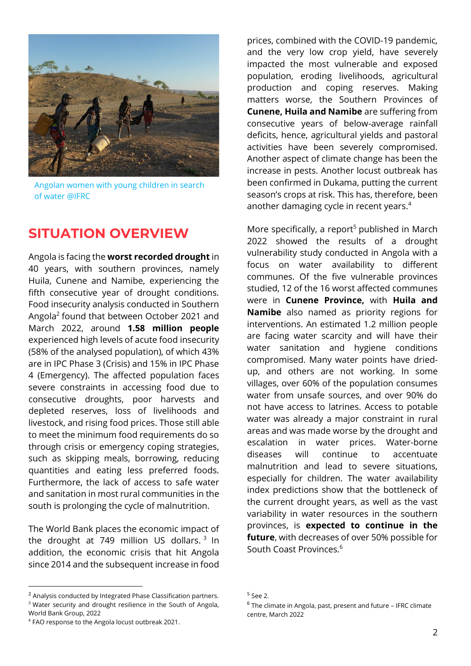

Angolan women with young children in search of water @IFRC

### **SITUATION OVERVIEW**

Angola is facing the **worst recorded drought** in 40 years, with southern provinces, namely Huila, Cunene and Namibe, experiencing the fifth consecutive year of drought conditions. Food insecurity analysis conducted in Southern Angola<sup>2</sup> found that between October 2021 and March 2022, around **1.58 million people** experienced high levels of acute food insecurity (58% of the analysed population), of which 43% are in IPC Phase 3 (Crisis) and 15% in IPC Phase 4 (Emergency). The affected population faces severe constraints in accessing food due to consecutive droughts, poor harvests and depleted reserves, loss of livelihoods and livestock, and rising food prices. Those still able to meet the minimum food requirements do so through crisis or emergency coping strategies, such as skipping meals, borrowing, reducing quantities and eating less preferred foods. Furthermore, the lack of access to safe water and sanitation in most rural communities in the south is prolonging the cycle of malnutrition.

The World Bank places the economic impact of the drought at 749 million US dollars.  $3 \text{ In}$ addition, the economic crisis that hit Angola since 2014 and the subsequent increase in food

prices, combined with the COVID-19 pandemic, and the very low crop yield, have severely impacted the most vulnerable and exposed population, eroding livelihoods, agricultural production and coping reserves. Making matters worse, the Southern Provinces of **Cunene, Huila and Namibe** are suffering from consecutive years of below-average rainfall deficits, hence, agricultural yields and pastoral activities have been severely compromised. Another aspect of climate change has been the increase in pests. Another locust outbreak has been confirmed in Dukama, putting the current season's crops at risk. This has, therefore, been another damaging cycle in recent years. 4

More specifically, a report<sup>5</sup> published in March 2022 showed the results of a drought vulnerability study conducted in Angola with a focus on water availability to different communes. Of the five vulnerable provinces studied, 12 of the 16 worst affected communes were in **Cunene Province,** with **Huila and Namibe** also named as priority regions for interventions. An estimated 1.2 million people are facing water scarcity and will have their water sanitation and hygiene conditions compromised. Many water points have driedup, and others are not working. In some villages, over 60% of the population consumes water from unsafe sources, and over 90% do not have access to latrines. Access to potable water was already a major constraint in rural areas and was made worse by the drought and escalation in water prices. Water-borne diseases will continue to accentuate malnutrition and lead to severe situations, especially for children. The water availability index predictions show that the bottleneck of the current drought years, as well as the vast variability in water resources in the southern provinces, is **expected to continue in the future**, with decreases of over 50% possible for South Coast Provinces. 6

<sup>&</sup>lt;sup>2</sup> Analysis conducted by Integrated Phase Classification partners. <sup>3</sup> Water security and drought resilience in the South of Angola, World Bank Group, 2022

<sup>4</sup> FAO response to the Angola locust outbreak 2021.

<sup>5</sup> See 2.

<sup>&</sup>lt;sup>6</sup> The climate in Angola, past, present and future - IFRC climate centre, March 2022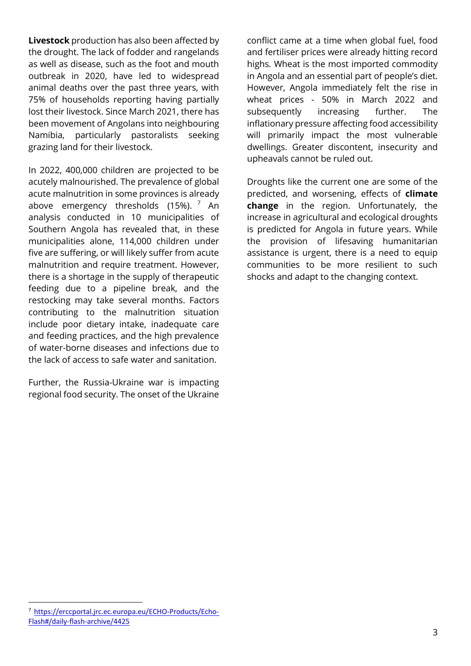**Livestock** production has also been affected by the drought. The lack of fodder and rangelands as well as disease, such as the foot and mouth outbreak in 2020, have led to widespread animal deaths over the past three years, with 75% of households reporting having partially lost their livestock. Since March 2021, there has been movement of Angolans into neighbouring Namibia, particularly pastoralists seeking grazing land for their livestock.

In 2022, 400,000 children are projected to be acutely malnourished. The prevalence of global acute malnutrition in some provinces is already above emergency thresholds (15%).  $7$  An analysis conducted in 10 municipalities of Southern Angola has revealed that, in these municipalities alone, 114,000 children under five are suffering, or will likely suffer from acute malnutrition and require treatment. However, there is a shortage in the supply of therapeutic feeding due to a pipeline break, and the restocking may take several months. Factors contributing to the malnutrition situation include poor dietary intake, inadequate care and feeding practices, and the high prevalence of water-borne diseases and infections due to the lack of access to safe water and sanitation.

Further, the Russia-Ukraine war is impacting regional food security. The onset of the Ukraine

conflict came at a time when global fuel, food and fertiliser prices were already hitting record highs. Wheat is the most imported commodity in Angola and an essential part of people's diet. However, Angola immediately felt the rise in wheat prices - 50% in March 2022 and subsequently increasing further. The inflationary pressure affecting food accessibility will primarily impact the most vulnerable dwellings. Greater discontent, insecurity and upheavals cannot be ruled out.

Droughts like the current one are some of the predicted, and worsening, effects of **climate change** in the region. Unfortunately, the increase in agricultural and ecological droughts is predicted for Angola in future years. While the provision of lifesaving humanitarian assistance is urgent, there is a need to equip communities to be more resilient to such shocks and adapt to the changing context.

<sup>7</sup> [https://erccportal.jrc.ec.europa.eu/ECHO-Products/Echo-](https://erccportal.jrc.ec.europa.eu/ECHO-Products/Echo-Flash#/daily-flash-archive/4425)[Flash#/daily-flash-archive/4425](https://erccportal.jrc.ec.europa.eu/ECHO-Products/Echo-Flash#/daily-flash-archive/4425)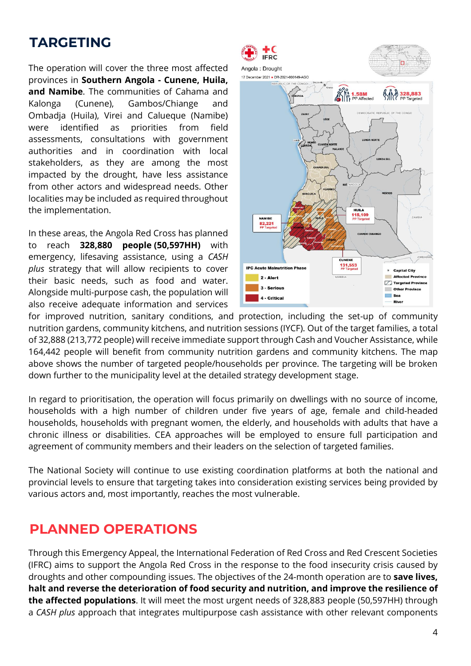# **TARGETING**

The operation will cover the three most affected provinces in **Southern Angola - Cunene, Huila, and Namibe**. The communities of Cahama and Kalonga (Cunene), Gambos/Chiange and Ombadja (Huila), Virei and Calueque (Namibe) were identified as priorities from field assessments, consultations with government authorities and in coordination with local stakeholders, as they are among the most impacted by the drought, have less assistance from other actors and widespread needs. Other localities may be included as required throughout the implementation.

In these areas, the Angola Red Cross has planned to reach **328,880 people (50,597HH)** with emergency, lifesaving assistance, using a *CASH plus* strategy that will allow recipients to cover their basic needs, such as food and water. Alongside multi-purpose cash, the population will also receive adequate information and services



for improved nutrition, sanitary conditions, and protection, including the set-up of community nutrition gardens, community kitchens, and nutrition sessions (IYCF). Out of the target families, a total of 32,888 (213,772 people) will receive immediate support through Cash and Voucher Assistance, while 164,442 people will benefit from community nutrition gardens and community kitchens. The map above shows the number of targeted people/households per province. The targeting will be broken down further to the municipality level at the detailed strategy development stage.

In regard to prioritisation, the operation will focus primarily on dwellings with no source of income, households with a high number of children under five years of age, female and child-headed households, households with pregnant women, the elderly, and households with adults that have a chronic illness or disabilities. CEA approaches will be employed to ensure full participation and agreement of community members and their leaders on the selection of targeted families.

The National Society will continue to use existing coordination platforms at both the national and provincial levels to ensure that targeting takes into consideration existing services being provided by various actors and, most importantly, reaches the most vulnerable.

## **PLANNED OPERATIONS**

Through this Emergency Appeal, the International Federation of Red Cross and Red Crescent Societies (IFRC) aims to support the Angola Red Cross in the response to the food insecurity crisis caused by droughts and other compounding issues. The objectives of the 24-month operation are to **save lives, halt and reverse the deterioration of food security and nutrition, and improve the resilience of the affected populations**. It will meet the most urgent needs of 328,883 people (50,597HH) through a *CASH plus* approach that integrates multipurpose cash assistance with other relevant components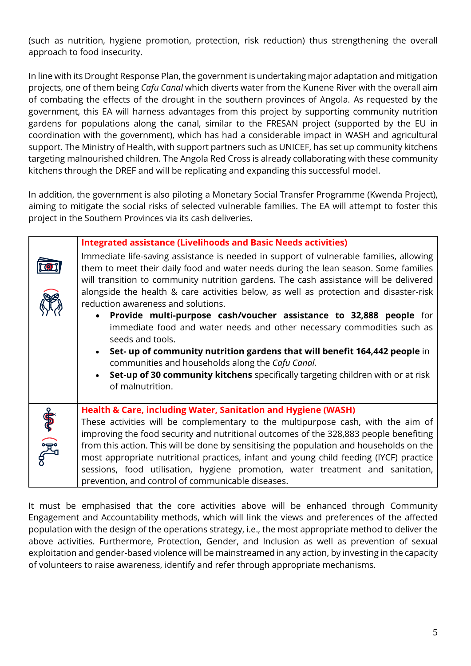(such as nutrition, hygiene promotion, protection, risk reduction) thus strengthening the overall approach to food insecurity.

In line with its Drought Response Plan, the government is undertaking major adaptation and mitigation projects, one of them being *Cafu Canal* which diverts water from the Kunene River with the overall aim of combating the effects of the drought in the southern provinces of Angola. As requested by the government, this EA will harness advantages from this project by supporting community nutrition gardens for populations along the canal, similar to the FRESAN project (supported by the EU in coordination with the government), which has had a considerable impact in WASH and agricultural support. The Ministry of Health, with support partners such as UNICEF, has set up community kitchens targeting malnourished children. The Angola Red Cross is already collaborating with these community kitchens through the DREF and will be replicating and expanding this successful model.

In addition, the government is also piloting a Monetary Social Transfer Programme (Kwenda Project), aiming to mitigate the social risks of selected vulnerable families. The EA will attempt to foster this project in the Southern Provinces via its cash deliveries.

|              | <b>Integrated assistance (Livelihoods and Basic Needs activities)</b><br>Immediate life-saving assistance is needed in support of vulnerable families, allowing<br>them to meet their daily food and water needs during the lean season. Some families<br>will transition to community nutrition gardens. The cash assistance will be delivered<br>alongside the health & care activities below, as well as protection and disaster-risk<br>reduction awareness and solutions.<br>Provide multi-purpose cash/voucher assistance to 32,888 people for<br>$\bullet$<br>immediate food and water needs and other necessary commodities such as<br>seeds and tools.<br>Set- up of community nutrition gardens that will benefit 164,442 people in<br>communities and households along the Cafu Canal.<br>Set-up of 30 community kitchens specifically targeting children with or at risk<br>of malnutrition. |
|--------------|----------------------------------------------------------------------------------------------------------------------------------------------------------------------------------------------------------------------------------------------------------------------------------------------------------------------------------------------------------------------------------------------------------------------------------------------------------------------------------------------------------------------------------------------------------------------------------------------------------------------------------------------------------------------------------------------------------------------------------------------------------------------------------------------------------------------------------------------------------------------------------------------------------|
| $\mathbb{C}$ | <b>Health &amp; Care, including Water, Sanitation and Hygiene (WASH)</b><br>These activities will be complementary to the multipurpose cash, with the aim of<br>improving the food security and nutritional outcomes of the 328,883 people benefiting<br>from this action. This will be done by sensitising the population and households on the<br>most appropriate nutritional practices, infant and young child feeding (IYCF) practice<br>sessions, food utilisation, hygiene promotion, water treatment and sanitation,<br>prevention, and control of communicable diseases.                                                                                                                                                                                                                                                                                                                        |

It must be emphasised that the core activities above will be enhanced through Community Engagement and Accountability methods, which will link the views and preferences of the affected population with the design of the operations strategy, i.e., the most appropriate method to deliver the above activities. Furthermore, Protection, Gender, and Inclusion as well as prevention of sexual exploitation and gender-based violence will be mainstreamed in any action, by investing in the capacity of volunteers to raise awareness, identify and refer through appropriate mechanisms.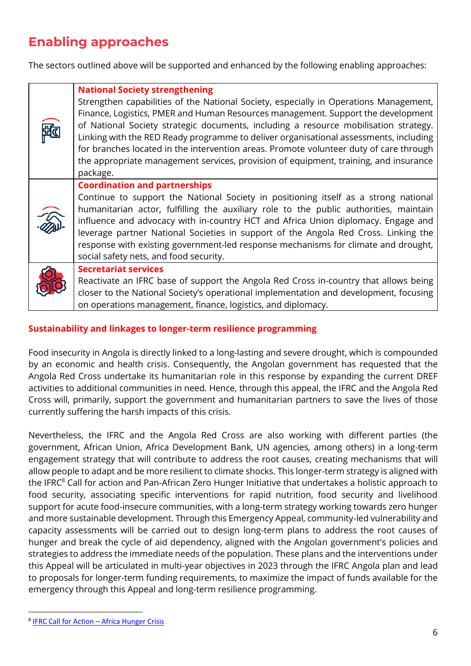# **Enabling approaches**

The sectors outlined above will be supported and enhanced by the following enabling approaches:

|                        | <b>National Society strengthening</b>                                                                                                                                     |
|------------------------|---------------------------------------------------------------------------------------------------------------------------------------------------------------------------|
|                        | Strengthen capabilities of the National Society, especially in Operations Management,<br>Finance, Logistics, PMER and Human Resources management. Support the development |
|                        | of National Society strategic documents, including a resource mobilisation strategy.                                                                                      |
|                        | Linking with the RED Ready programme to deliver organisational assessments, including                                                                                     |
|                        | for branches located in the intervention areas. Promote volunteer duty of care through                                                                                    |
|                        | the appropriate management services, provision of equipment, training, and insurance                                                                                      |
|                        | package.                                                                                                                                                                  |
| $\widehat{\mathbb{Z}}$ | <b>Coordination and partnerships</b>                                                                                                                                      |
|                        | Continue to support the National Society in positioning itself as a strong national                                                                                       |
|                        | humanitarian actor, fulfilling the auxiliary role to the public authorities, maintain                                                                                     |
|                        | influence and advocacy with in-country HCT and Africa Union diplomacy. Engage and                                                                                         |
|                        | leverage partner National Societies in support of the Angola Red Cross. Linking the                                                                                       |
|                        | response with existing government-led response mechanisms for climate and drought,                                                                                        |
|                        | social safety nets, and food security.                                                                                                                                    |
|                        | <b>Secretariat services</b>                                                                                                                                               |
|                        | Reactivate an IFRC base of support the Angola Red Cross in-country that allows being                                                                                      |
|                        | closer to the National Society's operational implementation and development, focusing                                                                                     |
|                        | on operations management, finance, logistics, and diplomacy.                                                                                                              |

### **Sustainability and linkages to longer-term resilience programming**

Food insecurity in Angola is directly linked to a long-lasting and severe drought, which is compounded by an economic and health crisis. Consequently, the Angolan government has requested that the Angola Red Cross undertake its humanitarian role in this response by expanding the current DREF activities to additional communities in need. Hence, through this appeal, the IFRC and the Angola Red Cross will, primarily, support the government and humanitarian partners to save the lives of those currently suffering the harsh impacts of this crisis.

Nevertheless, the IFRC and the Angola Red Cross are also working with different parties (the government, African Union, Africa Development Bank, UN agencies, among others) in a long-term engagement strategy that will contribute to address the root causes, creating mechanisms that will allow people to adapt and be more resilient to climate shocks. This longer-term strategy is aligned with the IFRC<sup>8</sup> Call for action and Pan-African Zero Hunger Initiative that undertakes a holistic approach to food security, associating specific interventions for rapid nutrition, food security and livelihood support for acute food-insecure communities, with a long-term strategy working towards zero hunger and more sustainable development. Through this Emergency Appeal, community-led vulnerability and capacity assessments will be carried out to design long-term plans to address the root causes of hunger and break the cycle of aid dependency, aligned with the Angolan government's policies and strategies to address the immediate needs of the population. These plans and the interventions under this Appeal will be articulated in multi-year objectives in 2023 through the IFRC Angola plan and lead to proposals for longer-term funding requirements, to maximize the impact of funds available for the emergency through this Appeal and long-term resilience programming.

<sup>&</sup>lt;sup>8</sup> [IFRC Call for Action](https://go-api.ifrc.org/publicfile/download?path=/docs/Appeals/21/&name=Hunger%20Crisis%20-%20Call%20for%20Action%202021.pdf) - Africa Hunger Crisis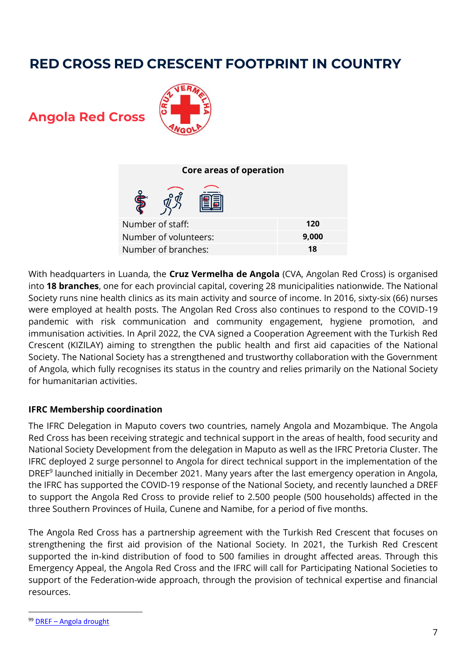# **RED CROSS RED CRESCENT FOOTPRINT IN COUNTRY**

**Angola Red Cross** 



| Core areas of operation |       |  |  |  |
|-------------------------|-------|--|--|--|
|                         |       |  |  |  |
| Number of staff:        | 120   |  |  |  |
| Number of volunteers:   | 9,000 |  |  |  |
| Number of branches:     | 18    |  |  |  |

With headquarters in Luanda, the **Cruz Vermelha de Angola** (CVA, Angolan Red Cross) is organised into **18 branches**, one for each provincial capital, covering 28 municipalities nationwide. The National Society runs nine health clinics as its main activity and source of income. In 2016, sixty-six (66) nurses were employed at health posts. The Angolan Red Cross also continues to respond to the COVID-19 pandemic with risk communication and community engagement, hygiene promotion, and immunisation activities. In April 2022, the CVA signed a Cooperation Agreement with the Turkish Red Crescent (KIZILAY) aiming to strengthen the public health and first aid capacities of the National Society. The National Society has a strengthened and trustworthy collaboration with the Government of Angola, which fully recognises its status in the country and relies primarily on the National Society for humanitarian activities.

### **IFRC Membership coordination**

The IFRC Delegation in Maputo covers two countries, namely Angola and Mozambique. The Angola Red Cross has been receiving strategic and technical support in the areas of health, food security and National Society Development from the delegation in Maputo as well as the IFRC Pretoria Cluster. The IFRC deployed 2 surge personnel to Angola for direct technical support in the implementation of the DREF<sup>9</sup> launched initially in December 2021. Many years after the last emergency operation in Angola, the IFRC has supported the COVID-19 response of the National Society, and recently launched a DREF to support the Angola Red Cross to provide relief to 2.500 people (500 households) affected in the three Southern Provinces of Huila, Cunene and Namibe, for a period of five months.

The Angola Red Cross has a partnership agreement with the Turkish Red Crescent that focuses on strengthening the first aid provision of the National Society. In 2021, the Turkish Red Crescent supported the in-kind distribution of food to 500 families in drought affected areas. Through this Emergency Appeal, the Angola Red Cross and the IFRC will call for Participating National Societies to support of the Federation-wide approach, through the provision of technical expertise and financial resources.

<sup>99</sup> DREF – [Angola drought](https://adore.ifrc.org/Download.aspx?FileId=478506)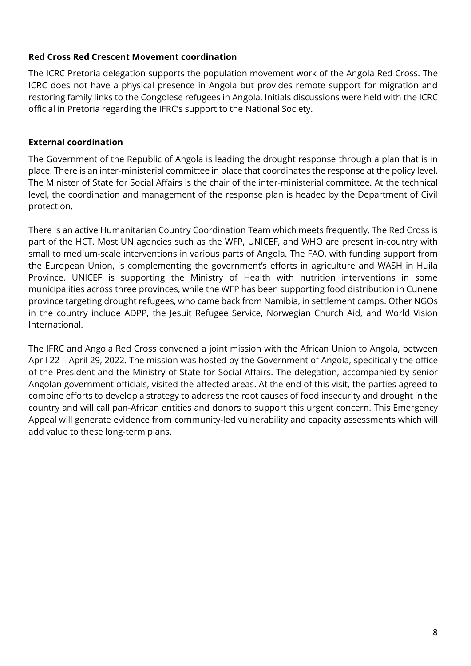### **Red Cross Red Crescent Movement coordination**

The ICRC Pretoria delegation supports the population movement work of the Angola Red Cross. The ICRC does not have a physical presence in Angola but provides remote support for migration and restoring family links to the Congolese refugees in Angola. Initials discussions were held with the ICRC official in Pretoria regarding the IFRC's support to the National Society.

### **External coordination**

The Government of the Republic of Angola is leading the drought response through a plan that is in place. There is an inter-ministerial committee in place that coordinates the response at the policy level. The Minister of State for Social Affairs is the chair of the inter-ministerial committee. At the technical level, the coordination and management of the response plan is headed by the Department of Civil protection.

There is an active Humanitarian Country Coordination Team which meets frequently. The Red Cross is part of the HCT. Most UN agencies such as the WFP, UNICEF, and WHO are present in-country with small to medium-scale interventions in various parts of Angola. The FAO, with funding support from the European Union, is complementing the government's efforts in agriculture and WASH in Huila Province. UNICEF is supporting the Ministry of Health with nutrition interventions in some municipalities across three provinces, while the WFP has been supporting food distribution in Cunene province targeting drought refugees, who came back from Namibia, in settlement camps. Other NGOs in the country include ADPP, the Jesuit Refugee Service, Norwegian Church Aid, and World Vision International.

The IFRC and Angola Red Cross convened a joint mission with the African Union to Angola, between April 22 – April 29, 2022. The mission was hosted by the Government of Angola, specifically the office of the President and the Ministry of State for Social Affairs. The delegation, accompanied by senior Angolan government officials, visited the affected areas. At the end of this visit, the parties agreed to combine efforts to develop a strategy to address the root causes of food insecurity and drought in the country and will call pan-African entities and donors to support this urgent concern. This Emergency Appeal will generate evidence from community-led vulnerability and capacity assessments which will add value to these long-term plans.